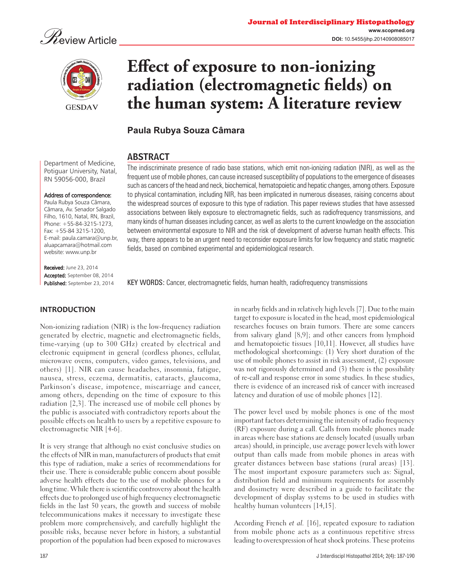



# **Effect of exposure to non-ionizing** radiation (electromagnetic fields) on **the human system: A literature review**

**Paula Rubya Souza Câmara**

## ABSTRACT

Department of Medicine, Potiguar University, Natal, RN 59056-000, Brazil Address of correspondence: The indiscriminate presence of radio base stations, which emit non-ionizing radiation (NIR), as well as the frequent use of mobile phones, can cause increased susceptibility of populations to the emergence of diseases such as cancers of the head and neck, biochemical, hematopoietic and hepatic changes, among others. Exposure to physical contamination, including NIR, has been implicated in numerous diseases, raising concerns about the widespread sources of exposure to this type of radiation. This paper reviews studies that have assessed associations between likely exposure to electromagnetic fields, such as radiofrequency transmissions, and many kinds of human diseases including cancer, as well as alerts to the current knowledge on the association between environmental exposure to NIR and the risk of development of adverse human health effects. This

fields, based on combined experimental and epidemiological research.

Paula Rubya Souza Câmara, Câmara, Av. Senador Salgado

Filho, 1610, Natal, RN, Brazil, Phone: +55-84-3215-1273, Fax: +55-84 3215-1200, E-mail: paula.camara@unp.br, aluapcamara@hotmail.com website: www.unp.br

Received: June 23, 2014 Accepted: September 08, 2014 Published: September 23, 2014

KEY WORDS: Cancer, electromagnetic fields, human health, radiofrequency transmissions

way, there appears to be an urgent need to reconsider exposure limits for low frequency and static magnetic

**INTRODUCTION**

Non-ionizing radiation (NIR) is the low-frequency radiation generated by electric, magnetic and electromagnetic fields, time-varying (up to 300 GHz) created by electrical and electronic equipment in general (cordless phones, cellular, microwave ovens, computers, video games, televisions, and others) [1]. NIR can cause headaches, insomnia, fatigue, nausea, stress, eczema, dermatitis, cataracts, glaucoma, Parkinson's disease, impotence, miscarriage and cancer, among others, depending on the time of exposure to this radiation [2,3]. The increased use of mobile cell phones by the public is associated with contradictory reports about the possible effects on health to users by a repetitive exposure to electromagnetic NIR [4-6].

It is very strange that although no exist conclusive studies on the effects of NIR in man, manufacturers of products that emit this type of radiation, make a series of recommendations for their use. There is considerable public concern about possible adverse health effects due to the use of mobile phones for a long time. While there is scientific controversy about the health effects due to prolonged use of high frequency electromagnetic fields in the last 50 years, the growth and success of mobile telecommunications makes it necessary to investigate these problem more comprehensively, and carefully highlight the possible risks, because never before in history, a substantial proportion of the population had been exposed to microwaves

in nearby fields and in relatively high levels [7]. Due to the main target to exposure is located in the head, most epidemiological researches focuses on brain tumors. There are some cancers from salivary gland [8,9]; and other cancers from lymphoid and hematopoietic tissues [10,11]. However, all studies have methodological shortcomings: (1) Very short duration of the use of mobile phones to assist in risk assessment, (2) exposure was not rigorously determined and (3) there is the possibility of re-call and response error in some studies. In these studies, there is evidence of an increased risk of cancer with increased latency and duration of use of mobile phones [12].

The power level used by mobile phones is one of the most important factors determining the intensity of radio frequency (RF) exposure during a call. Calls from mobile phones made in areas where base stations are densely located (usually urban areas) should, in principle, use average power levels with lower output than calls made from mobile phones in areas with greater distances between base stations (rural areas) [13]. The most important exposure parameters such as: Signal, distribution field and minimum requirements for assembly and dosimetry were described in a guide to facilitate the development of display systems to be used in studies with healthy human volunteers [14,15].

According French *et al.* [16], repeated exposure to radiation from mobile phone acts as a continuous repetitive stress leading to overexpression of heat shock proteins. These proteins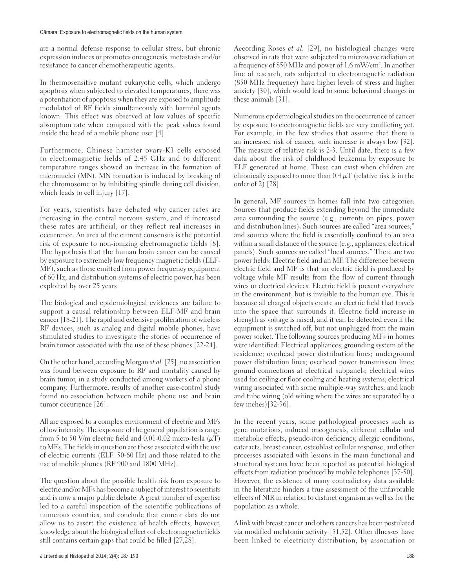are a normal defense response to cellular stress, but chronic expression induces or promotes oncogenesis, metastasis and/or resistance to cancer chemotherapeutic agents.

In thermosensitive mutant eukaryotic cells, which undergo apoptosis when subjected to elevated temperatures, there was a potentiation of apoptosis when they are exposed to amplitude modulated of RF fields simultaneously with harmful agents known. This effect was observed at low values of specific absorption rate when compared with the peak values found inside the head of a mobile phone user [4].

Furthermore, Chinese hamster ovary-K1 cells exposed to electromagnetic fields of 2.45 GHz and to different temperature ranges showed an increase in the formation of micronuclei (MN). MN formation is induced by breaking of the chromosome or by inhibiting spindle during cell division, which leads to cell injury [17].

For years, scientists have debated why cancer rates are increasing in the central nervous system, and if increased these rates are artificial, or they reflect real increases in occurrence. An area of the current consensus is the potential risk of exposure to non-ionizing electromagnetic fields [8]. The hypothesis that the human brain cancer can be caused by exposure to extremely low frequency magnetic fields (ELF-MF), such as those emitted from power frequency equipment of 60 Hz, and distribution systems of electric power, has been exploited by over 25 years.

The biological and epidemiological evidences are failure to support a causal relationship between ELF-MF and brain cancer [18-21]. The rapid and extensive proliferation of wireless RF devices, such as analog and digital mobile phones, have stimulated studies to investigate the stories of occurrence of brain tumor associated with the use of these phones [22-24].

On the other hand, according Morgan *et al.* [25], no association was found between exposure to RF and mortality caused by brain tumor, in a study conducted among workers of a phone company. Furthermore, results of another case-control study found no association between mobile phone use and brain tumor occurrence [26].

All are exposed to a complex environment of electric and MFs of low intensity. The exposure of the general population is range from 5 to 50 V/m electric field and 0.01-0.02 micro-tesla  $(\mu T)$ to MFs. The fields in question are those associated with the use of electric currents (ELF: 50-60 Hz) and those related to the use of mobile phones (RF 900 and 1800 MHz).

The question about the possible health risk from exposure to electric and/or MFs has become a subject of interest to scientists and is now a major public debate. A great number of expertise led to a careful inspection of the scientific publications of numerous countries, and conclude that current data do not allow us to assert the existence of health effects, however, knowledge about the biological effects of electromagnetic fields still contains certain gaps that could be filled [27,28].

According Roses *et al.* [29], no histological changes were observed in rats that were subjected to microwave radiation at a frequency of 850 MHz and power of 1.6 mW/cm2 . In another line of research, rats subjected to electromagnetic radiation (850 MHz frequency) have higher levels of stress and higher anxiety [30], which would lead to some behavioral changes in these animals [31].

Numerous epidemiological studies on the occurrence of cancer by exposure to electromagnetic fields are very conflicting yet. For example, in the few studies that assume that there is an increased risk of cancer, such increase is always low [32]. The measure of relative risk is 2-3. Until date, there is a few data about the risk of childhood leukemia by exposure to ELF generated at home. These can exist when children are chronically exposed to more than  $0.4 \mu$ T (relative risk is in the order of 2) [28].

In general, MF sources in homes fall into two categories: Sources that produce fields extending beyond the immediate area surrounding the source (e.g., currents on pipes, power and distribution lines). Such sources are called "area sources;" and sources where the field is essentially confined to an area within a small distance of the source (e.g., appliances, electrical panels). Such sources are called "local sources." There are two power fields: Electric field and an MF. The difference between electric field and MF is that an electric field is produced by voltage while MF results from the flow of current through wires or electrical devices. Electric field is present everywhere in the environment, but is invisible to the human eye. This is because all charged objects create an electric field that travels into the space that surrounds it. Electric field increase in strength as voltage is raised, and it can be detected even if the equipment is switched off, but not unplugged from the main power socket. The following sources producing MFs in homes were identified: Electrical appliances; grounding system of the residence; overhead power distribution lines; underground power distribution lines; overhead power transmission lines; ground connections at electrical subpanels; electrical wires used for ceiling or floor cooling and heating systems; electrical wiring associated with some multiple-way switches; and knob and tube wiring (old wiring where the wires are separated by a few inches)[32-36].

In the recent years, some pathological processes such as gene mutations, induced oncogenesis, different cellular and metabolic effects, pseudo-iron deficiency, allergic conditions, cataracts, breast cancer, osteoblast cellular response, and other processes associated with lesions in the main functional and structural systems have been reported as potential biological effects from radiation produced by mobile telephones [37-50]. However, the existence of many contradictory data available in the literature hinders a true assessment of the unfavorable effects of NIR in relation to distinct organism as well as for the population as a whole.

A link with breast cancer and others cancers has been postulated via modified melatonin activity [51,52]. Other illnesses have been linked to electricity distribution, by association or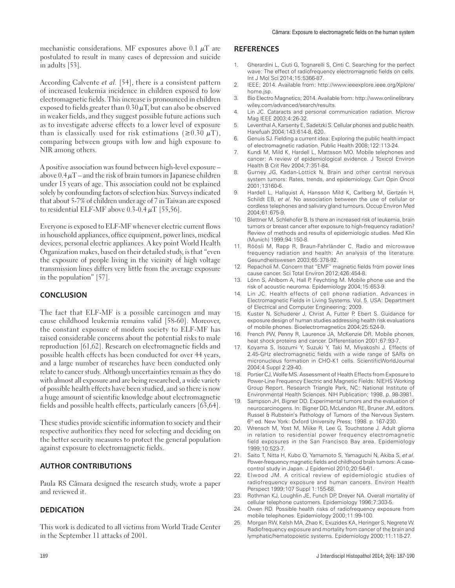mechanistic considerations. MF exposures above 0.1  $\mu$ T are postulated to result in many cases of depression and suicide in adults [53].

According Calvente *et al.* [54], there is a consistent pattern of increased leukemia incidence in children exposed to low electromagnetic fields. This increase is pronounced in children exposed to fields greater than  $0.30 \mu$ T, but can also be observed in weaker fields, and they suggest possible future actions such as to investigate adverse effects to a lower level of exposure than is classically used for risk estimations ( $\geq 0.30 \mu$ T), comparing between groups with low and high exposure to NIR among others.

A positive association was found between high-level exposure – above  $0.4 \mu$ T – and the risk of brain tumors in Japanese children under 15 years of age. This association could not be explained solely by confounding factors of selection bias. Surveys indicated that about 5-7% of children under age of 7 in Taiwan are exposed to residential ELF-MF above  $0.3-0.4 \mu T$  [55,56].

Everyone is exposed to ELF-MF whenever electric current flows in household appliances, office equipment, power lines, medical devices, personal electric appliances. A key point World Health Organization makes, based on their detailed study, is that "even the exposure of people living in the vicinity of high voltage transmission lines differs very little from the average exposure in the population" [57].

#### **CONCLUSION**

The fact that ELF-MF is a possible carcinogen and may cause childhood leukemia remains valid [58-60]. Moreover, the constant exposure of modern society to ELF-MF has raised considerable concerns about the potential risks to male reproduction [61,62]. Research on electromagnetic fields and possible health effects has been conducted for over 44 years, and a large number of researches have been conducted only relate to cancer study. Although uncertainties remain as they do with almost all exposure and are being researched, a wide variety of possible health effects have been studied, and so there is now a huge amount of scientific knowledge about electromagnetic fields and possible health effects, particularly cancers [63,64].

These studies provide scientific information to society and their respective authorities they need for selecting and deciding on the better security measures to protect the general population against exposure to electromagnetic fields.

### **AUTHOR CONTRIBUTIONS**

Paula RS Câmara designed the research study, wrote a paper and reviewed it.

#### **DEDICATION**

This work is dedicated to all victims from World Trade Center in the September 11 attacks of 2001.

#### **REFERENCES**

- 1. Gherardini L, Ciuti G, Tognarelli S, Cinti C. Searching for the perfect wave: The effect of radiofrequency electromagnetic fields on cells. Int J Mol Sci 2014;15:5366-87.
- 2. IEEE; 2014. Available from: http://www.ieeexplore.ieee.org/Xplore/ home.jsp.
- 3. Bio Electro Magnetics; 2014. Available from: http://www.onlinelibrary. wiley.com/advanced/search/results.
- 4. Lin JC. Cataracts and personal communication radiation. Microw Mag IEEE 2003;4:26-32.
- 5. Leventhal A, Karsenty E, Sadetzki S. Cellular phones and public health. Harefuah 2004;143:614-8, 620.
- 6. Genuis SJ. Fielding a current idea: Exploring the public health impact of electromagnetic radiation. Public Health 2008;122:113-24.
- 7. Kundi M, Mild K, Hardell L, Mattsson MO. Mobile telephones and cancer: A review of epidemiological evidence. J Toxicol Environ Health B Crit Rev 2004;7:351-84.
- 8. Gurney JG, Kadan-Lottick N. Brain and other central nervous system tumors: Rates, trends, and epidemiology. Curr Opin Oncol 2001;13160-6.
- 9. Hardell L, Hallquist A, Hansson Mild K, Carlberg M, Gertzén H, Schildt EB, *et al*. No association between the use of cellular or cordless telephones and salivary gland tumours. Occup Environ Med 2004;61:675-9.
- 10. Blettner M, Schlehofer B. Is there an increased risk of leukemia, brain tumors or breast cancer after exposure to high-frequency radiation? Review of methods and results of epidemiologic studies. Med Klin (Munich) 1999;94:150-8.
- 11. Röösli M, Rapp R, Braun-Fahrländer C. Radio and microwave frequency radiation and health: An analysis of the literature. Gesundheitswesen 2003;65:378-92.
- 12. Repacholi M. Concern that "EMF" magnetic fields from power lines cause cancer. Sci Total Environ 2012;426:454-8.
- 13. Lönn S, Ahlbom A, Hall P, Feychting M. Mobile phone use and the risk of acoustic neuroma. Epidemiology 2004;15:653-9.
- 14. Lin JC. Health effects of cell phone radiation. Advances in Electromagnetic Fields in Living Systems. Vol. 5. USA: Department of Electrical and Computer Engineering; 2009.
- 15. Kuster N, Schuderer J, Christ A, Futter P, Ebert S. Guidance for exposure design of human studies addressing health risk evaluations of mobile phones. Bioelectromagnetics 2004;25:524-9.
- 16. French PW, Penny R, Laurence JA, McKenzie DR. Mobile phones, heat shock proteins and cancer. Differentiation 2001;67:93-7.
- 17. Koyama S, Isozumi Y, Suzuki Y, Taki M, Miyakoshi J. Effects of 2.45-GHz electromagnetic fields with a wide range of SARs on micronucleus formation in CHO-K1 cells. ScientificWorldJournal 2004;4 Suppl 2:29-40.
- 18. Portier CJ, Wolfe MS. Assessment of Health Effects from Exposure to Power-Line Frequency Electric and Magnetic Fields: NIEHS Working Group Report. Research Triangle Park, NC: National Institute of Environmental Health Sciences. NIH Publication; 1998. p. 98-3981.
- 19. Sampson JH, Bigner DD. Experimental tumors and the evaluation of neurocarcinogens. In: Bigner DD, McLendon RE, Bruner JM, editors. Russel & Rubstein's Pathology of Tumors of the Nervous System. 6th ed. New York: Oxford University Press; 1998. p. 167-230.
- 20. Wrensch M, Yost M, Miike R, Lee G, Touchstone J. Adult glioma in relation to residential power frequency electromagnetic field exposures in the San Francisco Bay area. Epidemiology 1999;10:523-7.
- 21. Saito T, Nitta H, Kubo O, Yamamoto S, Yamaguchi N, Akiba S, *et al*. Power-frequency magnetic fields and childhood brain tumors: A casecontrol study in Japan. J Epidemiol 2010;20:54-61.
- 22. Elwood JM. A critical review of epidemiologic studies of radiofrequency exposure and human cancers. Environ Health Perspect 1999;107 Suppl 1:155-68.
- 23. Rothman KJ, Loughlin JE, Funch DP, Dreyer NA. Overall mortality of cellular telephone customers. Epidemiology 1996;7:303-5.
- 24. Owen RD. Possible health risks of radiofrequency exposure from mobile telephones. Epidemiology 2000;11:99-100.
- 25. Morgan RW, Kelsh MA, Zhao K, Exuzides KA, Heringer S, Negrete W. Radiofrequency exposure and mortality from cancer of the brain and lymphatic/hematopoietic systems. Epidemiology 2000;11:118-27.